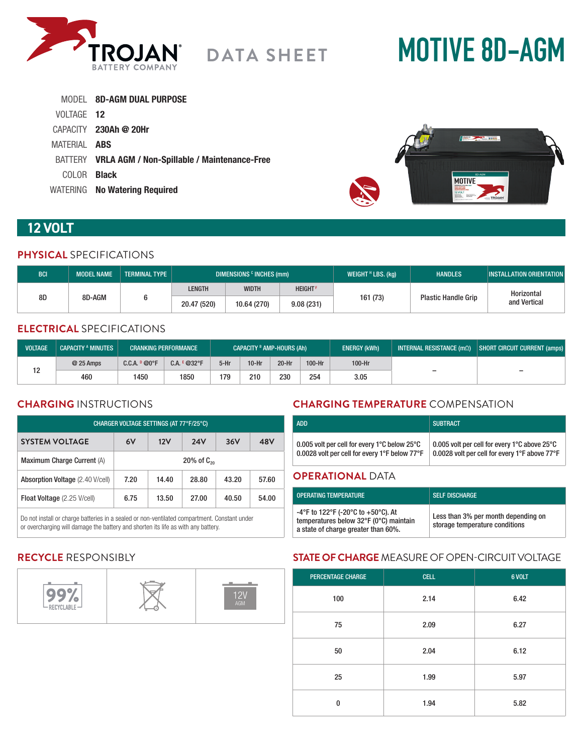

# **MOTIVE 8D-AGM**

|                     | MODEL 8D-AGM DUAL PURPOSE                           |
|---------------------|-----------------------------------------------------|
| VOLTAGE 12          |                                                     |
|                     | $CAPACITY$ 230Ah @ 20Hr                             |
| MATERIAL <b>ABS</b> |                                                     |
|                     | BATTERY VRLA AGM / Non-Spillable / Maintenance-Free |
| COLOR <b>Black</b>  |                                                     |
|                     | WATERING No Watering Required                       |



# **12 VOLT**

#### **PHYSICAL** SPECIFICATIONS

| <b>BCI</b>   | <b>MODEL NAME</b> | <b>TERMINAL TYPE</b> | DIMENSIONS <sup>c</sup> INCHES (mm) |                |          | WEIGHT $H$ LBS. (kg)       | <b>HANDLES</b> | <b>INSTALLATION ORIENTATION</b> |
|--------------|-------------------|----------------------|-------------------------------------|----------------|----------|----------------------------|----------------|---------------------------------|
| 8D<br>8D-AGM |                   | LENGTH               | <b>WIDTH</b>                        | <b>HEIGHTF</b> |          | <b>Plastic Handle Grip</b> | Horizontal     |                                 |
|              |                   | 20.47 (520)          | 10.64 (270)                         | 9.08(231)      | 161 (73) |                            | and Vertical   |                                 |

## **ELECTRICAL** SPECIFICATIONS

| <b>VOLTAGE</b> | <b>CAPACITY A MINUTES</b> |                | <b>CRANKING PERFORMANCE</b> | <b>CAPACITY B AMP-HOURS (Ah)</b> |         |       |        | <b>ENERGY (kWh)</b> | INTERNAL RESISTANCE $(m\Omega)$ | SHORT CIRCUIT CURRENT (amps) |
|----------------|---------------------------|----------------|-----------------------------|----------------------------------|---------|-------|--------|---------------------|---------------------------------|------------------------------|
| 10             | @ 25 Amps                 | C.C.A. P @ 0°F | $C.A. E @32^{\circ}F$       | 5-Hr                             | $10-Hr$ | 20-Hr | 100-Hr | 100-Hr              |                                 |                              |
|                | 460                       | 1450           | 1850                        | 179                              | 210     | 230   | 254    | 3.05                | $\overline{\phantom{0}}$        | $\overline{\phantom{0}}$     |

### **CHARGING** INSTRUCTIONS

| CHARGER VOLTAGE SETTINGS (AT 77°F/25°C) |                         |       |       |       |       |
|-----------------------------------------|-------------------------|-------|-------|-------|-------|
| <b>SYSTEM VOLTAGE</b>                   | 6V<br>12V<br><b>24V</b> |       |       | 36V   | 48V   |
| Maximum Charge Current (A)              | 20% of $C_{20}$         |       |       |       |       |
| Absorption Voltage (2.40 V/cell)        | 7.20                    | 14.40 | 28.80 | 43.20 | 57.60 |
| Float Voltage (2.25 V/cell)             | 6.75                    | 13.50 | 27.00 | 40.50 | 54.00 |

Do not install or charge batteries in a sealed or non-ventilated compartment. Constant under or overcharging will damage the battery and shorten its life as with any battery.

# **CHARGING TEMPERATURE** COMPENSATION

| <b>ADD</b>                                                                                    | <b>SUBTRACT</b>                                                                               |  |  |  |
|-----------------------------------------------------------------------------------------------|-----------------------------------------------------------------------------------------------|--|--|--|
| 0.005 volt per cell for every 1°C below 25°C<br>0.0028 volt per cell for every 1°F below 77°F | 0.005 volt per cell for every 1°C above 25°C<br>0.0028 volt per cell for every 1°F above 77°F |  |  |  |
| <b>ODEDATIONAL DATA</b>                                                                       |                                                                                               |  |  |  |

#### **OPERATIONAL** DATA

| OPERATING TEMPERATURE                                                                                               | <b>SELF DISCHARGE</b>                                                 |
|---------------------------------------------------------------------------------------------------------------------|-----------------------------------------------------------------------|
| -4°F to 122°F (-20°C to +50°C). At<br>temperatures below 32°F (0°C) maintain<br>a state of charge greater than 60%. | Less than 3% per month depending on<br>storage temperature conditions |

## **RECYCLE** RESPONSIBLY



# **STATE OF CHARGE** MEASURE OF OPEN-CIRCUIT VOLTAGE

| <b>PERCENTAGE CHARGE</b> | <b>CELL</b> | 6 VOLT |
|--------------------------|-------------|--------|
| 100                      | 2.14        | 6.42   |
| 75                       | 2.09        | 6.27   |
| 50                       | 2.04        | 6.12   |
| 25                       | 1.99        | 5.97   |
| $\bf{0}$                 | 1.94        | 5.82   |